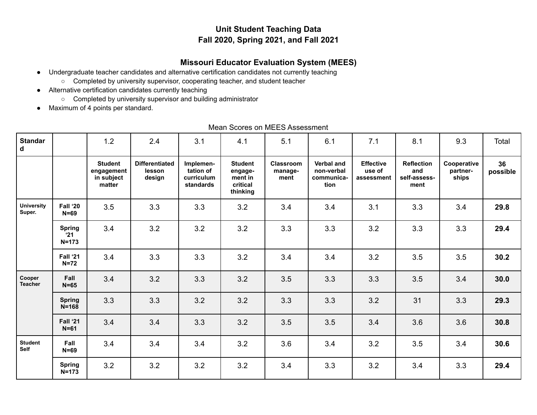# **Unit Student Teaching Data Fall 2020, Spring 2021, and Fall 2021**

# **Missouri Educator Evaluation System (MEES)**

- Undergraduate teacher candidates and alternative certification candidates not currently teaching
	- Completed by university supervisor, cooperating teacher, and student teacher
- Alternative certification candidates currently teaching
	- Completed by university supervisor and building administrator
- Maximum of 4 points per standard.

| <b>Standar</b><br>d         |                                            | 1.2<br>2.4                                           |                                           | 3.1                                               | 4.1                                                          | 5.1                          | 6.1                                                   | 7.1                                      | 8.1                                              | 9.3                              | Total          |
|-----------------------------|--------------------------------------------|------------------------------------------------------|-------------------------------------------|---------------------------------------------------|--------------------------------------------------------------|------------------------------|-------------------------------------------------------|------------------------------------------|--------------------------------------------------|----------------------------------|----------------|
|                             |                                            | <b>Student</b><br>engagement<br>in subject<br>matter | <b>Differentiated</b><br>lesson<br>design | Implemen-<br>tation of<br>curriculum<br>standards | <b>Student</b><br>engage-<br>ment in<br>critical<br>thinking | Classroom<br>manage-<br>ment | <b>Verbal and</b><br>non-verbal<br>communica-<br>tion | <b>Effective</b><br>use of<br>assessment | <b>Reflection</b><br>and<br>self-assess-<br>ment | Cooperative<br>partner-<br>ships | 36<br>possible |
| <b>University</b><br>Super. | Fall '20<br>$N=69$                         | 3.5                                                  | 3.3                                       | 3.3                                               | 3.2                                                          | 3.4                          | 3.4                                                   | 3.1                                      | 3.3                                              | 3.4                              | 29.8           |
|                             | <b>Spring</b><br>$^{\circ}21$<br>$N = 173$ | 3.4                                                  | 3.2                                       | 3.2                                               | 3.2                                                          | 3.3                          | 3.3                                                   | 3.2                                      | 3.3                                              | 3.3                              | 29.4           |
|                             | Fall '21<br>$N=72$                         | 3.4                                                  | 3.3                                       | 3.3                                               | 3.2                                                          | 3.4                          | 3.4                                                   | 3.2                                      | 3.5                                              | 3.5                              | 30.2           |
| Cooper<br><b>Teacher</b>    | Fall<br>$N=65$                             | 3.4                                                  | 3.2                                       | 3.3                                               | 3.2                                                          | 3.5                          | 3.3                                                   | 3.3                                      | 3.5                                              | 3.4                              | 30.0           |
|                             | <b>Spring</b><br>$N = 168$                 | 3.3                                                  | 3.3                                       | 3.2                                               | 3.2                                                          | 3.3                          | 3.3                                                   | 3.2                                      | 31                                               | 3.3                              | 29.3           |
|                             | Fall '21<br>$N=61$                         | 3.4                                                  | 3.4                                       | 3.3                                               | 3.2                                                          | 3.5                          | 3.5                                                   | 3.4                                      | 3.6                                              | 3.6                              | 30.8           |
| <b>Student</b><br>Self      | Fall<br>$N = 69$                           | 3.4                                                  | 3.4                                       | 3.4                                               | 3.2                                                          | 3.6                          | 3.4                                                   | 3.2                                      | 3.5                                              | 3.4                              | 30.6           |
|                             | <b>Spring</b><br>$N = 173$                 | 3.2                                                  | 3.2                                       | 3.2                                               | 3.2                                                          | 3.4                          | 3.3                                                   | 3.2                                      | 3.4                                              | 3.3                              | 29.4           |

Mean Scores on MEES Assessment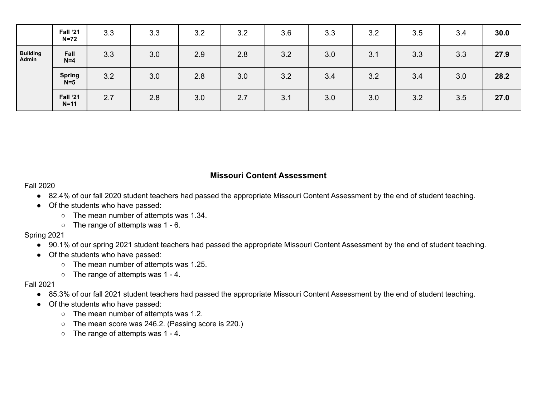|                                 | Fall '21<br>$N=72$     | 3.3 | 3.3 | 3.2 | 3.2 | 3.6 | 3.3 | 3.2 | 3.5 | 3.4 | 30.0 |
|---------------------------------|------------------------|-----|-----|-----|-----|-----|-----|-----|-----|-----|------|
| <b>Building</b><br><b>Admin</b> | Fall<br>$N=4$          | 3.3 | 3.0 | 2.9 | 2.8 | 3.2 | 3.0 | 3.1 | 3.3 | 3.3 | 27.9 |
|                                 | <b>Spring</b><br>$N=5$ | 3.2 | 3.0 | 2.8 | 3.0 | 3.2 | 3.4 | 3.2 | 3.4 | 3.0 | 28.2 |
|                                 | Fall '21<br>$N=11$     | 2.7 | 2.8 | 3.0 | 2.7 | 3.1 | 3.0 | 3.0 | 3.2 | 3.5 | 27.0 |

### **Missouri Content Assessment**

Fall 2020

- 82.4% of our fall 2020 student teachers had passed the appropriate Missouri Content Assessment by the end of student teaching.
- Of the students who have passed:
	- The mean number of attempts was 1.34.
	- The range of attempts was 1 6.

Spring 2021

- 90.1% of our spring 2021 student teachers had passed the appropriate Missouri Content Assessment by the end of student teaching.
- Of the students who have passed:
	- The mean number of attempts was 1.25.
	- The range of attempts was 1 4.

#### Fall 2021

- 85.3% of our fall 2021 student teachers had passed the appropriate Missouri Content Assessment by the end of student teaching.
- Of the students who have passed:
	- The mean number of attempts was 1.2.
	- The mean score was 246.2. (Passing score is 220.)
	- The range of attempts was 1 4.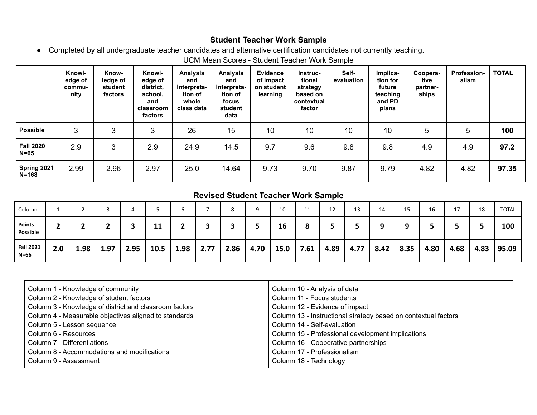### **Student Teacher Work Sample**

● Completed by all undergraduate teacher candidates and alternative certification candidates not currently teaching.

UCM Mean Scores - Student Teacher Work Sample

|                              | Knowl-<br>edge of<br>commu-<br>nity | Know-<br>ledge of<br>student<br>factors | Knowl-<br>edge of<br>district,<br>school.<br>and<br>classroom<br>factors | <b>Analysis</b><br>and<br>interpreta-<br>tion of<br>whole<br>class data | <b>Analysis</b><br>and<br>interpreta-<br>tion of<br>focus<br>student<br>data | <b>Evidence</b><br>of impact<br>on student<br>learning | <b>Instruc-</b><br>tional<br>strategy<br>based on<br>contextual<br>factor | Self-<br>evaluation | Implica-<br>tion for<br>future<br>teaching<br>and PD<br>plans | Coopera-<br>tive<br>partner-<br>ships | <b>Profession-</b><br>alism | <b>TOTAL</b> |
|------------------------------|-------------------------------------|-----------------------------------------|--------------------------------------------------------------------------|-------------------------------------------------------------------------|------------------------------------------------------------------------------|--------------------------------------------------------|---------------------------------------------------------------------------|---------------------|---------------------------------------------------------------|---------------------------------------|-----------------------------|--------------|
| <b>Possible</b>              | 3                                   | 3                                       | 3                                                                        | 26                                                                      | 15                                                                           | 10                                                     | 10                                                                        | 10                  | 10                                                            | 5                                     | 5                           | 100          |
| <b>Fall 2020</b><br>$N = 65$ | 2.9                                 | 3                                       | 2.9                                                                      | 24.9                                                                    | 14.5                                                                         | 9.7                                                    | 9.6                                                                       | 9.8                 | 9.8                                                           | 4.9                                   | 4.9                         | 97.2         |
| Spring 2021<br>$N = 168$     | 2.99                                | 2.96                                    | 2.97                                                                     | 25.0                                                                    | 14.64                                                                        | 9.73                                                   | 9.70                                                                      | 9.87                | 9.79                                                          | 4.82                                  | 4.82                        | 97.35        |

# **Revised Student Teacher Work Sample**

| Column                       |     |      |      |      |      |      |      |      | a    | 10   | 11   | 12   | 13   | 14   | 15   | 16   |      | 18   | TOTAL |
|------------------------------|-----|------|------|------|------|------|------|------|------|------|------|------|------|------|------|------|------|------|-------|
| <b>Points</b><br>Possible    | ∽   |      |      |      | 11   |      |      |      |      | 16   |      |      |      |      | O    |      |      |      | 100   |
| <b>Fall 2021</b><br>$N = 66$ | 2.0 | 1.98 | 1.97 | 2.95 | 10.5 | 1.98 | 2.77 | 2.86 | 4.70 | 15.0 | 7.61 | 4.89 | 4.77 | 8.42 | 8.35 | 4.80 | 4.68 | 4.83 | 95.09 |

| Column 1 - Knowledge of community                      | Column 10 - Analysis of data                                   |
|--------------------------------------------------------|----------------------------------------------------------------|
| Column 2 - Knowledge of student factors                | Column 11 - Focus students                                     |
| Column 3 - Knowledge of district and classroom factors | Column 12 - Evidence of impact                                 |
| Column 4 - Measurable objectives aligned to standards  | Column 13 - Instructional strategy based on contextual factors |
| Column 5 - Lesson sequence                             | Column 14 - Self-evaluation                                    |
| Column 6 - Resources                                   | Column 15 - Professional development implications              |
| Column 7 - Differentiations                            | Column 16 - Cooperative partnerships                           |
| Column 8 - Accommodations and modifications            | Column 17 - Professionalism                                    |
| Column 9 - Assessment                                  | Column 18 - Technology                                         |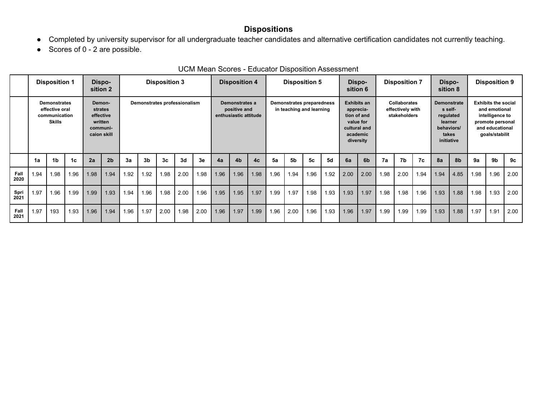# **Dispositions**

- Completed by university supervisor for all undergraduate teacher candidates and alternative certification candidates not currently teaching.
- Scores of 0 2 are possible.

|              | <b>Disposition 1</b> |                                 |                                                                                                                                                                                                         |      | Dispo-<br>sition 2 | <b>Disposition 3</b>                                  |                |                |                                                                                                      | <b>Disposition 4</b> |                                                         |                | <b>Disposition 5</b> |                                                                                            |                | Dispo-<br>sition 6                                                                                                      |           | <b>Disposition 7</b> |                |      | Dispo-<br>sition 8 |      | <b>Disposition 9</b> |      |      |                |      |
|--------------|----------------------|---------------------------------|---------------------------------------------------------------------------------------------------------------------------------------------------------------------------------------------------------|------|--------------------|-------------------------------------------------------|----------------|----------------|------------------------------------------------------------------------------------------------------|----------------------|---------------------------------------------------------|----------------|----------------------|--------------------------------------------------------------------------------------------|----------------|-------------------------------------------------------------------------------------------------------------------------|-----------|----------------------|----------------|------|--------------------|------|----------------------|------|------|----------------|------|
|              |                      | effective oral<br><b>Skills</b> | <b>Demonstrates</b><br>Demonstrates professionalism<br>Demon-<br>Demonstrates a<br>strates<br>positive and<br>enthusiastic attitude<br>effective<br>communication<br>written<br>communi-<br>caion skill |      |                    | Demonstrates preparedness<br>in teaching and learning |                |                | <b>Exhibits an</b><br>apprecia-<br>tion of and<br>value for<br>cultural and<br>academic<br>diversity |                      | <b>Collaborates</b><br>effectively with<br>stakeholders |                |                      | <b>Demonstrate</b><br>s self-<br>regulated<br>learner<br>behaviors/<br>takes<br>initiative |                | <b>Exhibits the social</b><br>and emotional<br>intelligence to<br>promote personal<br>and educational<br>goals/stabilit |           |                      |                |      |                    |      |                      |      |      |                |      |
|              | 1a                   | 1 <sub>b</sub>                  | 1 <sub>c</sub>                                                                                                                                                                                          | 2a   | 2 <sub>b</sub>     | 3a                                                    | 3 <sub>b</sub> | 3 <sub>c</sub> | 3d                                                                                                   | 3e                   | 4a                                                      | 4 <sub>b</sub> | 4c                   | 5a                                                                                         | 5 <sub>b</sub> | 5 <sub>c</sub>                                                                                                          | <b>5d</b> | 6a                   | 6 <sub>b</sub> | 7a   | 7b                 | 7c   | 8a                   | 8b   | 9a   | 9 <sub>b</sub> | 9c   |
| Fall<br>2020 | 1.94                 | 1.98                            | 1.96                                                                                                                                                                                                    | 1.98 | 1.94               | 1.92                                                  | 1.92           | 1.98           | 2.00                                                                                                 | 1.98                 | 1.96                                                    | 1.96           | 1.98                 | .96                                                                                        | 1.94           | 1.96                                                                                                                    | 1.92      | 2.00                 | 2.00           | 1.98 | 2.00               | 1.94 | 1.94                 | 4.85 | 1.98 | 1.96           | 2.00 |
| Spri<br>2021 | 1.97                 | 1.96                            | 1.99                                                                                                                                                                                                    | 1.99 | 1.93               | 1.94                                                  | 1.96           | 1.98           | 2.00                                                                                                 | 1.96                 | 1.95                                                    | 1.95           | 1.97                 | 1.99                                                                                       | 1.97           | 1.98                                                                                                                    | 1.93      | 1.93                 | 1.97           | 1.98 | 1.98               | 1.96 | 1.93                 | 1.88 | 1.98 | 1.93           | 2.00 |
| Fall<br>2021 | 1.97                 | 193                             | 1.93                                                                                                                                                                                                    | 1.96 | 1.94               | 1.96                                                  | 1.97           | 2.00           | 1.98                                                                                                 | 2.00                 | 1.96                                                    | 1.97           | 1.99                 | 1.96                                                                                       | 2.00           | 1.96                                                                                                                    | 1.93      | 1.96                 | 1.97           | 1.99 | 1.99               | 1.99 | 1.93                 | 1.88 | 1.97 | 1.91           | 2.00 |

#### UCM Mean Scores - Educator Disposition Assessment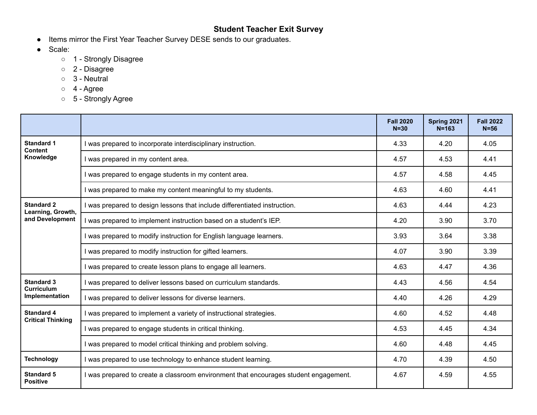# **Student Teacher Exit Survey**

- Items mirror the First Year Teacher Survey DESE sends to our graduates.
- Scale:
	- 1 Strongly Disagree
	- 2 Disagree
	- 3 Neutral
	- $\circ$  4 Agree
	- 5 Strongly Agree

|                                               |                                                                                      | <b>Fall 2020</b><br>$N = 30$ | Spring 2021<br>$N = 163$ | <b>Fall 2022</b><br>$N = 56$ |
|-----------------------------------------------|--------------------------------------------------------------------------------------|------------------------------|--------------------------|------------------------------|
| <b>Standard 1</b><br><b>Content</b>           | I was prepared to incorporate interdisciplinary instruction.                         | 4.33                         | 4.20                     | 4.05                         |
| Knowledge                                     | I was prepared in my content area.                                                   | 4.57                         | 4.53                     | 4.41                         |
|                                               | I was prepared to engage students in my content area.                                | 4.57                         | 4.58                     | 4.45                         |
|                                               | I was prepared to make my content meaningful to my students.                         | 4.63                         | 4.60                     | 4.41                         |
| <b>Standard 2</b><br>Learning, Growth,        | I was prepared to design lessons that include differentiated instruction.            | 4.63                         | 4.44                     | 4.23                         |
| and Development                               | I was prepared to implement instruction based on a student's IEP.                    | 4.20                         | 3.90                     | 3.70                         |
|                                               | I was prepared to modify instruction for English language learners.                  | 3.93                         | 3.64                     | 3.38                         |
|                                               | I was prepared to modify instruction for gifted learners.                            | 4.07                         | 3.90                     | 3.39                         |
|                                               | I was prepared to create lesson plans to engage all learners.                        | 4.63                         | 4.47                     | 4.36                         |
| <b>Standard 3</b><br><b>Curriculum</b>        | I was prepared to deliver lessons based on curriculum standards.                     | 4.43                         | 4.56                     | 4.54                         |
| Implementation                                | I was prepared to deliver lessons for diverse learners.                              | 4.40                         | 4.26                     | 4.29                         |
| <b>Standard 4</b><br><b>Critical Thinking</b> | I was prepared to implement a variety of instructional strategies.                   | 4.60                         | 4.52                     | 4.48                         |
|                                               | I was prepared to engage students in critical thinking.                              | 4.53                         | 4.45                     | 4.34                         |
|                                               | I was prepared to model critical thinking and problem solving.                       | 4.60                         | 4.48                     | 4.45                         |
| <b>Technology</b>                             | I was prepared to use technology to enhance student learning.                        | 4.70                         | 4.39                     | 4.50                         |
| <b>Standard 5</b><br><b>Positive</b>          | I was prepared to create a classroom environment that encourages student engagement. | 4.67                         | 4.59                     | 4.55                         |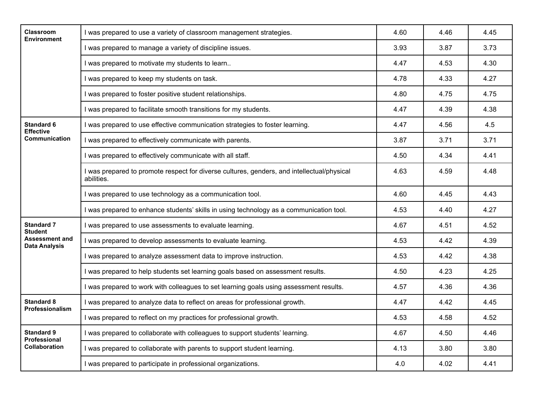| Classroom<br><b>Environment</b>               | I was prepared to use a variety of classroom management strategies.                                      | 4.60 | 4.46 | 4.45 |
|-----------------------------------------------|----------------------------------------------------------------------------------------------------------|------|------|------|
|                                               | I was prepared to manage a variety of discipline issues.                                                 | 3.93 | 3.87 | 3.73 |
|                                               | I was prepared to motivate my students to learn                                                          | 4.47 | 4.53 | 4.30 |
|                                               | I was prepared to keep my students on task.                                                              | 4.78 | 4.33 | 4.27 |
|                                               | I was prepared to foster positive student relationships.                                                 | 4.80 | 4.75 | 4.75 |
|                                               | I was prepared to facilitate smooth transitions for my students.                                         | 4.47 | 4.39 | 4.38 |
| <b>Standard 6</b><br><b>Effective</b>         | I was prepared to use effective communication strategies to foster learning.                             | 4.47 | 4.56 | 4.5  |
| <b>Communication</b>                          | I was prepared to effectively communicate with parents.                                                  | 3.87 | 3.71 | 3.71 |
|                                               | I was prepared to effectively communicate with all staff.                                                | 4.50 | 4.34 | 4.41 |
|                                               | I was prepared to promote respect for diverse cultures, genders, and intellectual/physical<br>abilities. | 4.63 | 4.59 | 4.48 |
|                                               | I was prepared to use technology as a communication tool.                                                | 4.60 | 4.45 | 4.43 |
|                                               | I was prepared to enhance students' skills in using technology as a communication tool.                  | 4.53 | 4.40 | 4.27 |
| <b>Standard 7</b><br><b>Student</b>           | I was prepared to use assessments to evaluate learning.                                                  | 4.67 | 4.51 | 4.52 |
| <b>Assessment and</b><br><b>Data Analysis</b> | I was prepared to develop assessments to evaluate learning.                                              | 4.53 | 4.42 | 4.39 |
|                                               | I was prepared to analyze assessment data to improve instruction.                                        | 4.53 | 4.42 | 4.38 |
|                                               | I was prepared to help students set learning goals based on assessment results.                          | 4.50 | 4.23 | 4.25 |
|                                               | I was prepared to work with colleagues to set learning goals using assessment results.                   | 4.57 | 4.36 | 4.36 |
| <b>Standard 8</b><br>Professionalism          | I was prepared to analyze data to reflect on areas for professional growth.                              | 4.47 | 4.42 | 4.45 |
|                                               | I was prepared to reflect on my practices for professional growth.                                       | 4.53 | 4.58 | 4.52 |
| <b>Standard 9</b><br><b>Professional</b>      | I was prepared to collaborate with colleagues to support students' learning.                             | 4.67 | 4.50 | 4.46 |
| <b>Collaboration</b>                          | I was prepared to collaborate with parents to support student learning.                                  | 4.13 | 3.80 | 3.80 |
|                                               | I was prepared to participate in professional organizations.                                             | 4.0  | 4.02 | 4.41 |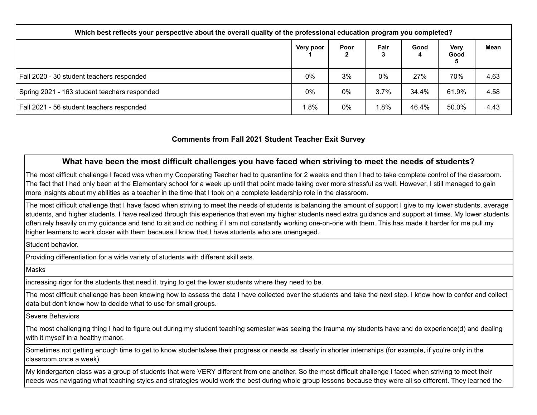| Which best reflects your perspective about the overall quality of the professional education program you completed? |           |       |      |       |                          |      |  |  |  |  |  |
|---------------------------------------------------------------------------------------------------------------------|-----------|-------|------|-------|--------------------------|------|--|--|--|--|--|
|                                                                                                                     | Very poor | Poor  | Fair | Good  | <b>Very</b><br>Good<br>5 | Mean |  |  |  |  |  |
| Fall 2020 - 30 student teachers responded                                                                           | $0\%$     | 3%    | 0%   | 27%   | 70%                      | 4.63 |  |  |  |  |  |
| Spring 2021 - 163 student teachers responded                                                                        | $0\%$     | $0\%$ | 3.7% | 34.4% | 61.9%                    | 4.58 |  |  |  |  |  |
| Fall 2021 - 56 student teachers responded                                                                           | $.8\%$    | $0\%$ | .8%  | 46.4% | 50.0%                    | 4.43 |  |  |  |  |  |

### **Comments from Fall 2021 Student Teacher Exit Survey**

### **What have been the most difficult challenges you have faced when striving to meet the needs of students?**

The most difficult challenge I faced was when my Cooperating Teacher had to quarantine for 2 weeks and then I had to take complete control of the classroom. The fact that I had only been at the Elementary school for a week up until that point made taking over more stressful as well. However, I still managed to gain more insights about my abilities as a teacher in the time that I took on a complete leadership role in the classroom.

The most difficult challenge that I have faced when striving to meet the needs of students is balancing the amount of support I give to my lower students, average students, and higher students. I have realized through this experience that even my higher students need extra guidance and support at times. My lower students often rely heavily on my guidance and tend to sit and do nothing if I am not constantly working one-on-one with them. This has made it harder for me pull my higher learners to work closer with them because I know that I have students who are unengaged.

Student behavior.

Providing differentiation for a wide variety of students with different skill sets.

Masks

increasing rigor for the students that need it. trying to get the lower students where they need to be.

The most difficult challenge has been knowing how to assess the data I have collected over the students and take the next step. I know how to confer and collect data but don't know how to decide what to use for small groups.

Severe Behaviors

The most challenging thing I had to figure out during my student teaching semester was seeing the trauma my students have and do experience(d) and dealing with it myself in a healthy manor.

Sometimes not getting enough time to get to know students/see their progress or needs as clearly in shorter internships (for example, if you're only in the classroom once a week).

My kindergarten class was a group of students that were VERY different from one another. So the most difficult challenge I faced when striving to meet their needs was navigating what teaching styles and strategies would work the best during whole group lessons because they were all so different. They learned the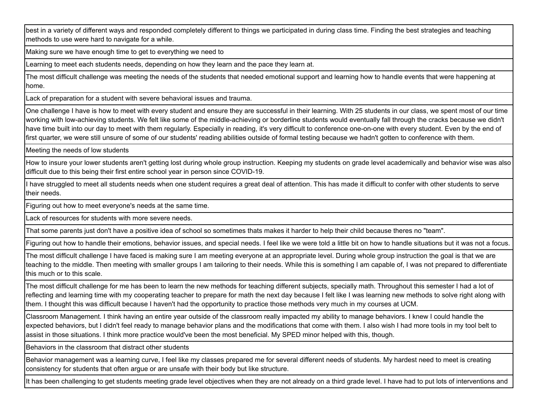best in a variety of different ways and responded completely different to things we participated in during class time. Finding the best strategies and teaching methods to use were hard to navigate for a while.

Making sure we have enough time to get to everything we need to

Learning to meet each students needs, depending on how they learn and the pace they learn at.

The most difficult challenge was meeting the needs of the students that needed emotional support and learning how to handle events that were happening at home.

Lack of preparation for a student with severe behavioral issues and trauma.

One challenge I have is how to meet with every student and ensure they are successful in their learning. With 25 students in our class, we spent most of our time working with low-achieving students. We felt like some of the middle-achieving or borderline students would eventually fall through the cracks because we didn't have time built into our day to meet with them regularly. Especially in reading, it's very difficult to conference one-on-one with every student. Even by the end of first quarter, we were still unsure of some of our students' reading abilities outside of formal testing because we hadn't gotten to conference with them.

Meeting the needs of low students

How to insure your lower students aren't getting lost during whole group instruction. Keeping my students on grade level academically and behavior wise was also difficult due to this being their first entire school year in person since COVID-19.

I have struggled to meet all students needs when one student requires a great deal of attention. This has made it difficult to confer with other students to serve their needs.

Figuring out how to meet everyone's needs at the same time.

Lack of resources for students with more severe needs.

That some parents just don't have a positive idea of school so sometimes thats makes it harder to help their child because theres no "team".

Figuring out how to handle their emotions, behavior issues, and special needs. I feel like we were told a little bit on how to handle situations but it was not a focus.

The most difficult challenge I have faced is making sure I am meeting everyone at an appropriate level. During whole group instruction the goal is that we are teaching to the middle. Then meeting with smaller groups I am tailoring to their needs. While this is something I am capable of, I was not prepared to differentiate this much or to this scale.

The most difficult challenge for me has been to learn the new methods for teaching different subjects, specially math. Throughout this semester I had a lot of reflecting and learning time with my cooperating teacher to prepare for math the next day because I felt like I was learning new methods to solve right along with them. I thought this was difficult because I haven't had the opportunity to practice those methods very much in my courses at UCM.

Classroom Management. I think having an entire year outside of the classroom really impacted my ability to manage behaviors. I knew I could handle the expected behaviors, but I didn't feel ready to manage behavior plans and the modifications that come with them. I also wish I had more tools in my tool belt to assist in those situations. I think more practice would've been the most beneficial. My SPED minor helped with this, though.

Behaviors in the classroom that distract other students

Behavior management was a learning curve, I feel like my classes prepared me for several different needs of students. My hardest need to meet is creating consistency for students that often argue or are unsafe with their body but like structure.

It has been challenging to get students meeting grade level objectives when they are not already on a third grade level. I have had to put lots of interventions and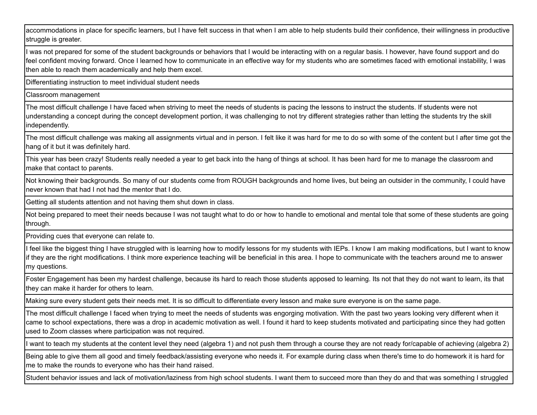accommodations in place for specific learners, but I have felt success in that when I am able to help students build their confidence, their willingness in productive struggle is greater.

I was not prepared for some of the student backgrounds or behaviors that I would be interacting with on a regular basis. I however, have found support and do feel confident moving forward. Once I learned how to communicate in an effective way for my students who are sometimes faced with emotional instability, I was then able to reach them academically and help them excel.

Differentiating instruction to meet individual student needs

Classroom management

The most difficult challenge I have faced when striving to meet the needs of students is pacing the lessons to instruct the students. If students were not understanding a concept during the concept development portion, it was challenging to not try different strategies rather than letting the students try the skill independently.

The most difficult challenge was making all assignments virtual and in person. I felt like it was hard for me to do so with some of the content but I after time got the hang of it but it was definitely hard.

This year has been crazy! Students really needed a year to get back into the hang of things at school. It has been hard for me to manage the classroom and make that contact to parents.

Not knowing their backgrounds. So many of our students come from ROUGH backgrounds and home lives, but being an outsider in the community, I could have never known that had I not had the mentor that I do.

Getting all students attention and not having them shut down in class.

Not being prepared to meet their needs because I was not taught what to do or how to handle to emotional and mental tole that some of these students are going through.

Providing cues that everyone can relate to.

I feel like the biggest thing I have struggled with is learning how to modify lessons for my students with IEPs. I know I am making modifications, but I want to know if they are the right modifications. I think more experience teaching will be beneficial in this area. I hope to communicate with the teachers around me to answer my questions.

Foster Engagement has been my hardest challenge, because its hard to reach those students apposed to learning. Its not that they do not want to learn, its that they can make it harder for others to learn.

Making sure every student gets their needs met. It is so difficult to differentiate every lesson and make sure everyone is on the same page.

The most difficult challenge I faced when trying to meet the needs of students was engorging motivation. With the past two years looking very different when it came to school expectations, there was a drop in academic motivation as well. I found it hard to keep students motivated and participating since they had gotten used to Zoom classes where participation was not required.

want to teach my students at the content level they need (algebra 1) and not push them through a course they are not ready for/capable of achieving (algebra 2)

Being able to give them all good and timely feedback/assisting everyone who needs it. For example during class when there's time to do homework it is hard for me to make the rounds to everyone who has their hand raised.

Student behavior issues and lack of motivation/laziness from high school students. I want them to succeed more than they do and that was something I struggled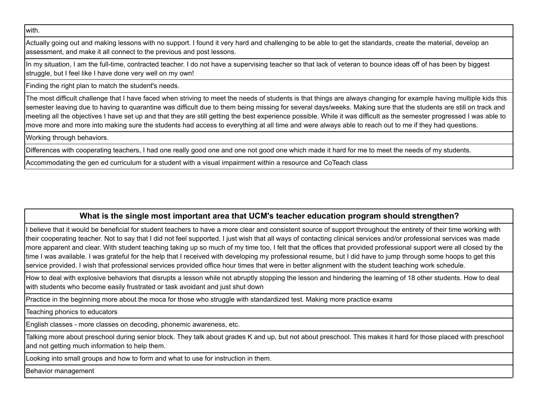with.

Actually going out and making lessons with no support. I found it very hard and challenging to be able to get the standards, create the material, develop an assessment, and make it all connect to the previous and post lessons.

In my situation, I am the full-time, contracted teacher. I do not have a supervising teacher so that lack of veteran to bounce ideas off of has been by biggest struggle, but I feel like I have done very well on my own!

Finding the right plan to match the student's needs.

The most difficult challenge that I have faced when striving to meet the needs of students is that things are always changing for example having multiple kids this semester leaving due to having to quarantine was difficult due to them being missing for several days/weeks. Making sure that the students are still on track and meeting all the objectives I have set up and that they are still getting the best experience possible. While it was difficult as the semester progressed I was able to move more and more into making sure the students had access to everything at all time and were always able to reach out to me if they had questions.

Working through behaviors.

Differences with cooperating teachers, I had one really good one and one not good one which made it hard for me to meet the needs of my students.

Accommodating the gen ed curriculum for a student with a visual impairment within a resource and CoTeach class

# **What is the single most important area that UCM's teacher education program should strengthen?**

I believe that it would be beneficial for student teachers to have a more clear and consistent source of support throughout the entirety of their time working with their cooperating teacher. Not to say that I did not feel supported. I just wish that all ways of contacting clinical services and/or professional services was made more apparent and clear. With student teaching taking up so much of my time too, I felt that the offices that provided professional support were all closed by the time I was available. I was grateful for the help that I received with developing my professional resume, but I did have to jump through some hoops to get this service provided. I wish that professional services provided office hour times that were in better alignment with the student teaching work schedule.

How to deal with explosive behaviors that disrupts a lesson while not abruptly stopping the lesson and hindering the learning of 18 other students. How to deal with students who become easily frustrated or task avoidant and just shut down

Practice in the beginning more about the moca for those who struggle with standardized test. Making more practice exams

Teaching phonics to educators

English classes - more classes on decoding, phonemic awareness, etc.

Talking more about preschool during senior block. They talk about grades K and up, but not about preschool. This makes it hard for those placed with preschool and not getting much information to help them.

Looking into small groups and how to form and what to use for instruction in them.

Behavior management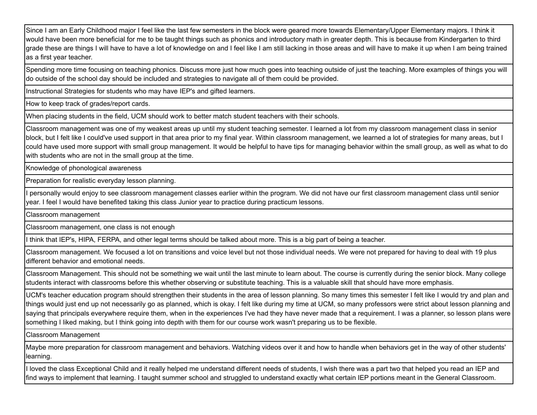Since I am an Early Childhood major I feel like the last few semesters in the block were geared more towards Elementary/Upper Elementary majors. I think it would have been more beneficial for me to be taught things such as phonics and introductory math in greater depth. This is because from Kindergarten to third grade these are things I will have to have a lot of knowledge on and I feel like I am still lacking in those areas and will have to make it up when I am being trained as a first year teacher.

Spending more time focusing on teaching phonics. Discuss more just how much goes into teaching outside of just the teaching. More examples of things you will do outside of the school day should be included and strategies to navigate all of them could be provided.

Instructional Strategies for students who may have IEP's and gifted learners.

How to keep track of grades/report cards.

When placing students in the field, UCM should work to better match student teachers with their schools.

Classroom management was one of my weakest areas up until my student teaching semester. I learned a lot from my classroom management class in senior block, but I felt like I could've used support in that area prior to my final year. Within classroom management, we learned a lot of strategies for many areas, but I could have used more support with small group management. It would be helpful to have tips for managing behavior within the small group, as well as what to do with students who are not in the small group at the time.

Knowledge of phonological awareness

Preparation for realistic everyday lesson planning.

personally would enjoy to see classroom management classes earlier within the program. We did not have our first classroom management class until senior year. I feel I would have benefited taking this class Junior year to practice during practicum lessons.

Classroom management

Classroom management, one class is not enough

I think that IEP's, HIPA, FERPA, and other legal terms should be talked about more. This is a big part of being a teacher.

Classroom management. We focused a lot on transitions and voice level but not those individual needs. We were not prepared for having to deal with 19 plus different behavior and emotional needs.

Classroom Management. This should not be something we wait until the last minute to learn about. The course is currently during the senior block. Many college students interact with classrooms before this whether observing or substitute teaching. This is a valuable skill that should have more emphasis.

UCM's teacher education program should strengthen their students in the area of lesson planning. So many times this semester I felt like I would try and plan and things would just end up not necessarily go as planned, which is okay. I felt like during my time at UCM, so many professors were strict about lesson planning and saying that principals everywhere require them, when in the experiences I've had they have never made that a requirement. I was a planner, so lesson plans were something I liked making, but I think going into depth with them for our course work wasn't preparing us to be flexible.

Classroom Management

Maybe more preparation for classroom management and behaviors. Watching videos over it and how to handle when behaviors get in the way of other students' learning.

I loved the class Exceptional Child and it really helped me understand different needs of students, I wish there was a part two that helped you read an IEP and find ways to implement that learning. I taught summer school and struggled to understand exactly what certain IEP portions meant in the General Classroom.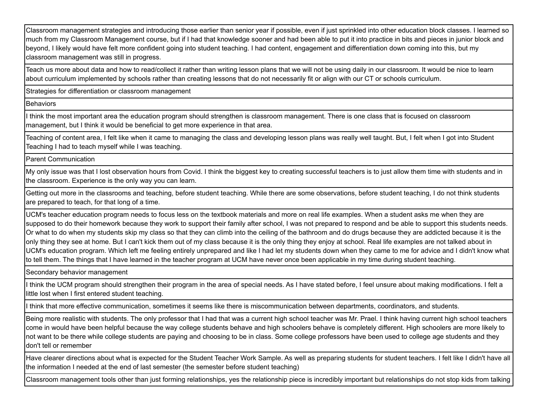Classroom management strategies and introducing those earlier than senior year if possible, even if just sprinkled into other education block classes. I learned so much from my Classroom Management course, but if I had that knowledge sooner and had been able to put it into practice in bits and pieces in junior block and beyond, I likely would have felt more confident going into student teaching. I had content, engagement and differentiation down coming into this, but my classroom management was still in progress.

Teach us more about data and how to read/collect it rather than writing lesson plans that we will not be using daily in our classroom. It would be nice to learn about curriculum implemented by schools rather than creating lessons that do not necessarily fit or align with our CT or schools curriculum.

Strategies for differentiation or classroom management

**Behaviors** 

I think the most important area the education program should strengthen is classroom management. There is one class that is focused on classroom management, but I think it would be beneficial to get more experience in that area.

Teaching of content area, I felt like when it came to managing the class and developing lesson plans was really well taught. But, I felt when I got into Student Teaching I had to teach myself while I was teaching.

Parent Communication

My only issue was that I lost observation hours from Covid. I think the biggest key to creating successful teachers is to just allow them time with students and in the classroom. Experience is the only way you can learn.

Getting out more in the classrooms and teaching, before student teaching. While there are some observations, before student teaching, I do not think students are prepared to teach, for that long of a time.

UCM's teacher education program needs to focus less on the textbook materials and more on real life examples. When a student asks me when they are supposed to do their homework because they work to support their family after school, I was not prepared to respond and be able to support this students needs. Or what to do when my students skip my class so that they can climb into the ceiling of the bathroom and do drugs because they are addicted because it is the only thing they see at home. But I can't kick them out of my class because it is the only thing they enjoy at school. Real life examples are not talked about in UCM's education program. Which left me feeling entirely unprepared and like I had let my students down when they came to me for advice and I didn't know what to tell them. The things that I have learned in the teacher program at UCM have never once been applicable in my time during student teaching.

Secondary behavior management

I think the UCM program should strengthen their program in the area of special needs. As I have stated before, I feel unsure about making modifications. I felt a little lost when I first entered student teaching.

I think that more effective communication, sometimes it seems like there is miscommunication between departments, coordinators, and students.

Being more realistic with students. The only professor that I had that was a current high school teacher was Mr. Prael. I think having current high school teachers come in would have been helpful because the way college students behave and high schoolers behave is completely different. High schoolers are more likely to not want to be there while college students are paying and choosing to be in class. Some college professors have been used to college age students and they don't tell or remember

Have clearer directions about what is expected for the Student Teacher Work Sample. As well as preparing students for student teachers. I felt like I didn't have all the information I needed at the end of last semester (the semester before student teaching)

Classroom management tools other than just forming relationships, yes the relationship piece is incredibly important but relationships do not stop kids from talking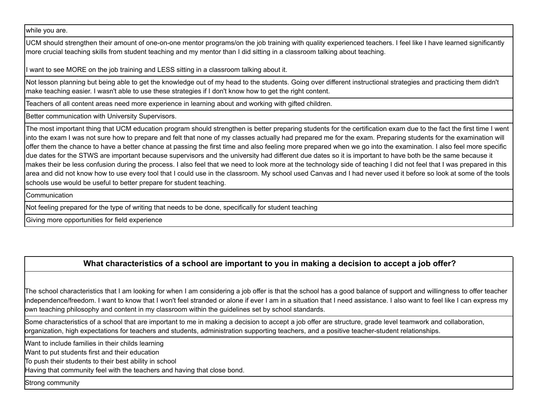while you are.

UCM should strengthen their amount of one-on-one mentor programs/on the job training with quality experienced teachers. I feel like I have learned significantly more crucial teaching skills from student teaching and my mentor than I did sitting in a classroom talking about teaching.

I want to see MORE on the job training and LESS sitting in a classroom talking about it.

Not lesson planning but being able to get the knowledge out of my head to the students. Going over different instructional strategies and practicing them didn't make teaching easier. I wasn't able to use these strategies if I don't know how to get the right content.

Teachers of all content areas need more experience in learning about and working with gifted children.

Better communication with University Supervisors.

The most important thing that UCM education program should strengthen is better preparing students for the certification exam due to the fact the first time I went into the exam I was not sure how to prepare and felt that none of my classes actually had prepared me for the exam. Preparing students for the examination will offer them the chance to have a better chance at passing the first time and also feeling more prepared when we go into the examination. I also feel more specific due dates for the STWS are important because supervisors and the university had different due dates so it is important to have both be the same because it makes their be less confusion during the process. I also feel that we need to look more at the technology side of teaching I did not feel that I was prepared in this area and did not know how to use every tool that I could use in the classroom. My school used Canvas and I had never used it before so look at some of the tools schools use would be useful to better prepare for student teaching.

**Communication** 

Not feeling prepared for the type of writing that needs to be done, specifically for student teaching

Giving more opportunities for field experience

# **What characteristics of a school are important to you in making a decision to accept a job offer?**

The school characteristics that I am looking for when I am considering a job offer is that the school has a good balance of support and willingness to offer teacher independence/freedom. I want to know that I won't feel stranded or alone if ever I am in a situation that I need assistance. I also want to feel like I can express my own teaching philosophy and content in my classroom within the guidelines set by school standards.

Some characteristics of a school that are important to me in making a decision to accept a job offer are structure, grade level teamwork and collaboration, organization, high expectations for teachers and students, administration supporting teachers, and a positive teacher-student relationships.

Want to include families in their childs learning

Want to put students first and their education

To push their students to their best ability in school

Having that community feel with the teachers and having that close bond.

Strong community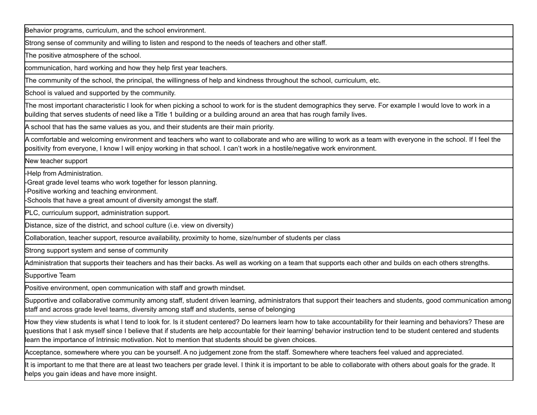Behavior programs, curriculum, and the school environment.

Strong sense of community and willing to listen and respond to the needs of teachers and other staff.

The positive atmosphere of the school.

communication, hard working and how they help first year teachers.

The community of the school, the principal, the willingness of help and kindness throughout the school, curriculum, etc.

School is valued and supported by the community.

The most important characteristic I look for when picking a school to work for is the student demographics they serve. For example I would love to work in a building that serves students of need like a Title 1 building or a building around an area that has rough family lives.

A school that has the same values as you, and their students are their main priority.

A comfortable and welcoming environment and teachers who want to collaborate and who are willing to work as a team with everyone in the school. If I feel the positivity from everyone, I know I will enjoy working in that school. I can't work in a hostile/negative work environment.

New teacher support

-Help from Administration.

-Great grade level teams who work together for lesson planning.

-Positive working and teaching environment.

-Schools that have a great amount of diversity amongst the staff.

PLC, curriculum support, administration support.

Distance, size of the district, and school culture (i.e. view on diversity)

Collaboration, teacher support, resource availability, proximity to home, size/number of students per class

Strong support system and sense of community

Administration that supports their teachers and has their backs. As well as working on a team that supports each other and builds on each others strengths.

Supportive Team

Positive environment, open communication with staff and growth mindset.

Supportive and collaborative community among staff, student driven learning, administrators that support their teachers and students, good communication among staff and across grade level teams, diversity among staff and students, sense of belonging

How they view students is what I tend to look for. Is it student centered? Do learners learn how to take accountability for their learning and behaviors? These are questions that I ask myself since I believe that if students are help accountable for their learning/ behavior instruction tend to be student centered and students learn the importance of Intrinsic motivation. Not to mention that students should be given choices.

Acceptance, somewhere where you can be yourself. A no judgement zone from the staff. Somewhere where teachers feel valued and appreciated.

It is important to me that there are at least two teachers per grade level. I think it is important to be able to collaborate with others about goals for the grade. It helps you gain ideas and have more insight.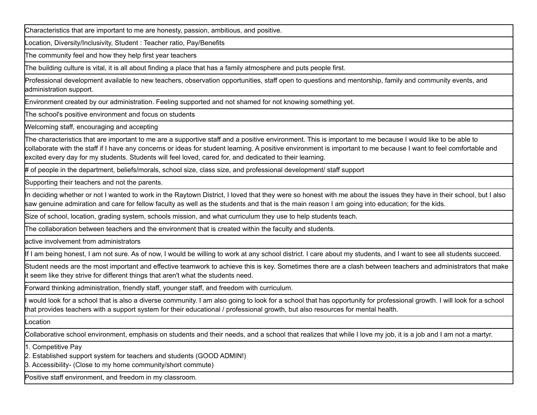Characteristics that are important to me are honesty, passion, ambitious, and positive.

Location, Diversity/Inclusivity, Student : Teacher ratio, Pay/Benefits

The community feel and how they help first year teachers

The building culture is vital, it is all about finding a place that has a family atmosphere and puts people first.

Professional development available to new teachers, observation opportunities, staff open to questions and mentorship, family and community events, and administration support.

Environment created by our administration. Feeling supported and not shamed for not knowing something yet.

The school's positive environment and focus on students

Welcoming staff, encouraging and accepting

The characteristics that are important to me are a supportive staff and a positive environment. This is important to me because I would like to be able to collaborate with the staff if I have any concerns or ideas for student learning. A positive environment is important to me because I want to feel comfortable and excited every day for my students. Students will feel loved, cared for, and dedicated to their learning.

# of people in the department, beliefs/morals, school size, class size, and professional development/ staff support

Supporting their teachers and not the parents.

In deciding whether or not I wanted to work in the Raytown District, I loved that they were so honest with me about the issues they have in their school, but I also saw genuine admiration and care for fellow faculty as well as the students and that is the main reason I am going into education; for the kids.

Size of school, location, grading system, schools mission, and what curriculum they use to help students teach.

The collaboration between teachers and the environment that is created within the faculty and students.

active involvement from administrators

If I am being honest, I am not sure. As of now, I would be willing to work at any school district. I care about my students, and I want to see all students succeed.

Student needs are the most important and effective teamwork to achieve this is key. Sometimes there are a clash between teachers and administrators that make it seem like they strive for different things that aren't what the students need.

Forward thinking administration, friendly staff, younger staff, and freedom with curriculum.

would look for a school that is also a diverse community. I am also going to look for a school that has opportunity for professional growth. I will look for a school that provides teachers with a support system for their educational / professional growth, but also resources for mental health.

Location

Collaborative school environment, emphasis on students and their needs, and a school that realizes that while I love my job, it is a job and I am not a martyr.

1. Competitive Pay

2. Established support system for teachers and students (GOOD ADMIN!)

3. Accessibility- (Close to my home community/short commute)

Positive staff environment, and freedom in my classroom.